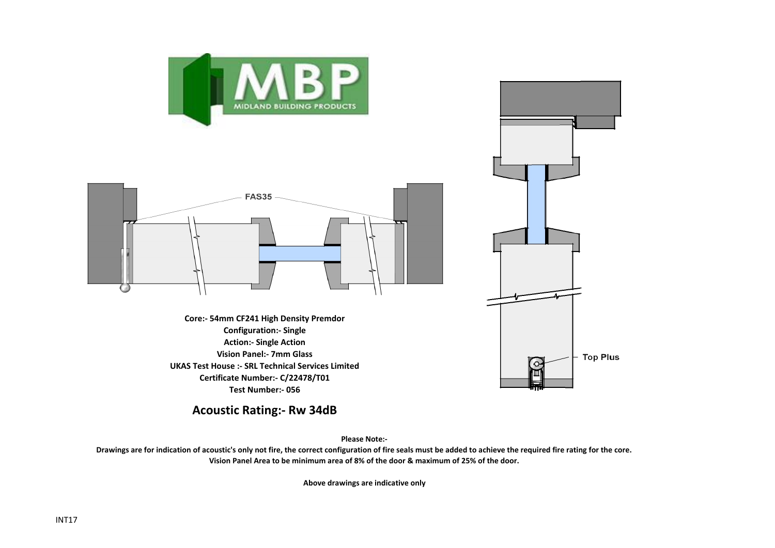



**Core:- 54mm CF241 High Density Premdor Configuration:- Single Action:- Single Action Vision Panel:- 7mm Glass UKAS Test House :- SRL Technical Services Limited Certificate Number:- C/22478/T01 Test Number:- 056**



**Acoustic Rating:- Rw 34dB**

**Please Note:-** 

**Drawings are for indication of acoustic's only not fire, the correct configuration of fire seals must be added to achieve the required fire rating for the core. Vision Panel Area to be minimum area of 8% of the door & maximum of 25% of the door.**

**Above drawings are indicative only**